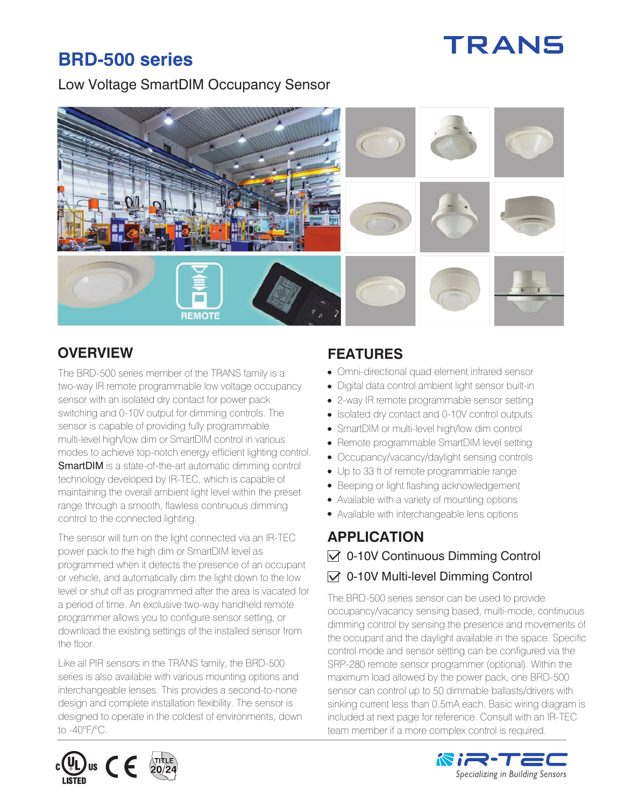# **TRANS**

# **BRD-500 series**

#### Low Voltage SmartDIM Occupancy Sensor



# **OVERVIEW FEATURES**

The BRD-500 series member of the TRANS family is a two-way IR remote programmable low voltage occupancy sensor with an isolated dry contact for power pack switching and 0-10V output for dimming controls. The sensor is capable of providing fully programmable multi-level high/low dim or SmartDIM control in various modes to achieve top-notch energy efficient lighting control. **SmartDIM** is a state-of-the-art automatic dimming control technology developed by IR-TEC, which is capable of maintaining the overall ambient light level within the preset range through a smooth, flawless continuous dimming control to the connected lighting.

The sensor will turn on the light connected via an IR-TEC power pack to the high dim or SmartDIM level as programmed when it detects the presence of an occupant or vehicle, and automatically dim the light down to the low level or shut off as programmed after the area is vacated for a period of time. An exclusive two-way handheld remote programmer allows you to configure sensor setting, or download the existing settings of the installed sensor from the floor.

Like all PIR sensors in the TRANS family, the BRD-500 series is also available with various mounting options and interchangeable lenses. This provides a second-to-none design and complete installation flexibility. The sensor is designed to operate in the coldest of environments, down to -40°F/°C.

- Omni-directional quad element infrared sensor
- Digital data control ambient light sensor built-in
- 2-way IR remote programmable sensor setting
- Isolated dry contact and 0-10V control outputs
- SmartDIM or multi-level high/low dim control
- Remote programmable SmartDIM level setting
- Occupancy/vacancy/daylight sensing controls
- Up to 33 ft of remote programmable range
- Beeping or light flashing acknowledgement
- Available with a variety of mounting options
- Available with interchangeable lens options

# **APPLICATION**   $\sqrt{$  0-10V Continuous Dimming Control  $\vee$  0-10V Multi-level Dimming Control

The BRD-500 series sensor can be used to provide occupancy/vacancy sensing based, multi-mode, continuous dimming control by sensing the presence and movements of the occupant and the daylight available in the space. Specific control mode and sensor setting can be configured via the SRP-280 remote sensor programmer (optional). Within the maximum load allowed by the power pack, one BRD-500 sensor can control up to 50 dimmable ballasts/drivers with sinking current less than 0.5mA each. Basic wiring diagram is included at next page for reference. Consult with an IR-TEC team member if a more complex control is required.